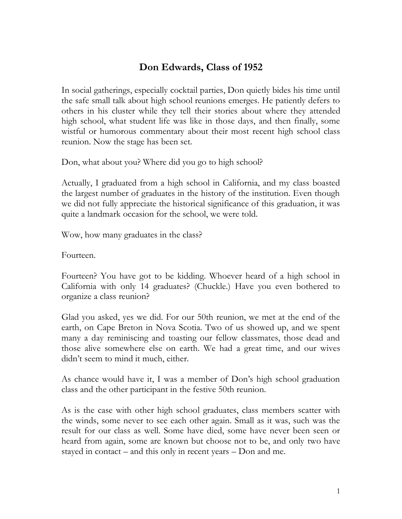## **Don Edwards, Class of 1952**

In social gatherings, especially cocktail parties, Don quietly bides his time until the safe small talk about high school reunions emerges. He patiently defers to others in his cluster while they tell their stories about where they attended high school, what student life was like in those days, and then finally, some wistful or humorous commentary about their most recent high school class reunion. Now the stage has been set.

Don, what about you? Where did you go to high school?

Actually, I graduated from a high school in California, and my class boasted the largest number of graduates in the history of the institution. Even though we did not fully appreciate the historical significance of this graduation, it was quite a landmark occasion for the school, we were told.

Wow, how many graduates in the class?

Fourteen.

Fourteen? You have got to be kidding. Whoever heard of a high school in California with only 14 graduates? (Chuckle.) Have you even bothered to organize a class reunion?

Glad you asked, yes we did. For our 50th reunion, we met at the end of the earth, on Cape Breton in Nova Scotia. Two of us showed up, and we spent many a day reminiscing and toasting our fellow classmates, those dead and those alive somewhere else on earth. We had a great time, and our wives didn't seem to mind it much, either.

As chance would have it, I was a member of Don's high school graduation class and the other participant in the festive 50th reunion.

As is the case with other high school graduates, class members scatter with the winds, some never to see each other again. Small as it was, such was the result for our class as well. Some have died, some have never been seen or heard from again, some are known but choose not to be, and only two have stayed in contact – and this only in recent years – Don and me.